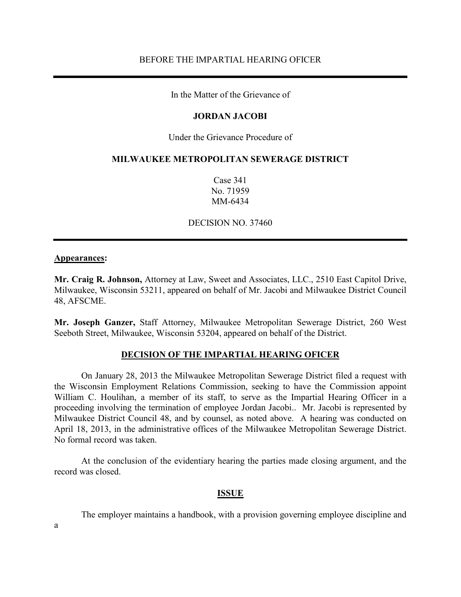In the Matter of the Grievance of

### **JORDAN JACOBI**

Under the Grievance Procedure of

#### **MILWAUKEE METROPOLITAN SEWERAGE DISTRICT**

Case 341 No. 71959 MM-6434

DECISION NO. 37460

#### **Appearances:**

**Mr. Craig R. Johnson,** Attorney at Law, Sweet and Associates, LLC., 2510 East Capitol Drive, Milwaukee, Wisconsin 53211, appeared on behalf of Mr. Jacobi and Milwaukee District Council 48, AFSCME.

**Mr. Joseph Ganzer,** Staff Attorney, Milwaukee Metropolitan Sewerage District, 260 West Seeboth Street, Milwaukee, Wisconsin 53204, appeared on behalf of the District.

#### **DECISION OF THE IMPARTIAL HEARING OFICER**

On January 28, 2013 the Milwaukee Metropolitan Sewerage District filed a request with the Wisconsin Employment Relations Commission, seeking to have the Commission appoint William C. Houlihan, a member of its staff, to serve as the Impartial Hearing Officer in a proceeding involving the termination of employee Jordan Jacobi.. Mr. Jacobi is represented by Milwaukee District Council 48, and by counsel, as noted above. A hearing was conducted on April 18, 2013, in the administrative offices of the Milwaukee Metropolitan Sewerage District. No formal record was taken.

At the conclusion of the evidentiary hearing the parties made closing argument, and the record was closed.

### **ISSUE**

The employer maintains a handbook, with a provision governing employee discipline and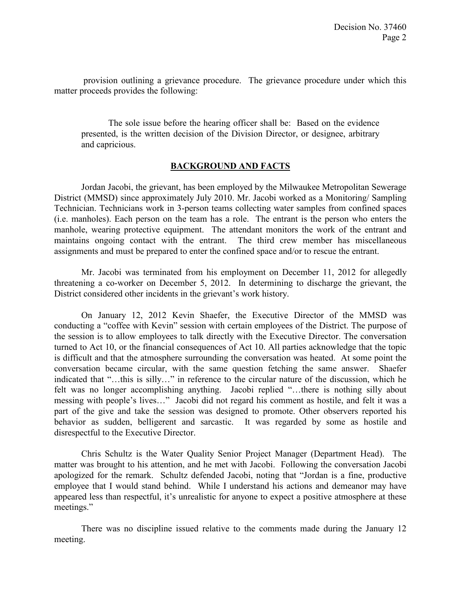provision outlining a grievance procedure. The grievance procedure under which this matter proceeds provides the following:

The sole issue before the hearing officer shall be: Based on the evidence presented, is the written decision of the Division Director, or designee, arbitrary and capricious.

## **BACKGROUND AND FACTS**

Jordan Jacobi, the grievant, has been employed by the Milwaukee Metropolitan Sewerage District (MMSD) since approximately July 2010. Mr. Jacobi worked as a Monitoring/ Sampling Technician. Technicians work in 3-person teams collecting water samples from confined spaces (i.e. manholes). Each person on the team has a role. The entrant is the person who enters the manhole, wearing protective equipment. The attendant monitors the work of the entrant and maintains ongoing contact with the entrant. The third crew member has miscellaneous assignments and must be prepared to enter the confined space and/or to rescue the entrant.

Mr. Jacobi was terminated from his employment on December 11, 2012 for allegedly threatening a co-worker on December 5, 2012. In determining to discharge the grievant, the District considered other incidents in the grievant's work history.

On January 12, 2012 Kevin Shaefer, the Executive Director of the MMSD was conducting a "coffee with Kevin" session with certain employees of the District. The purpose of the session is to allow employees to talk directly with the Executive Director. The conversation turned to Act 10, or the financial consequences of Act 10. All parties acknowledge that the topic is difficult and that the atmosphere surrounding the conversation was heated. At some point the conversation became circular, with the same question fetching the same answer. Shaefer indicated that "…this is silly…" in reference to the circular nature of the discussion, which he felt was no longer accomplishing anything. Jacobi replied "…there is nothing silly about messing with people's lives…" Jacobi did not regard his comment as hostile, and felt it was a part of the give and take the session was designed to promote. Other observers reported his behavior as sudden, belligerent and sarcastic. It was regarded by some as hostile and disrespectful to the Executive Director.

Chris Schultz is the Water Quality Senior Project Manager (Department Head). The matter was brought to his attention, and he met with Jacobi. Following the conversation Jacobi apologized for the remark. Schultz defended Jacobi, noting that "Jordan is a fine, productive employee that I would stand behind. While I understand his actions and demeanor may have appeared less than respectful, it's unrealistic for anyone to expect a positive atmosphere at these meetings."

There was no discipline issued relative to the comments made during the January 12 meeting.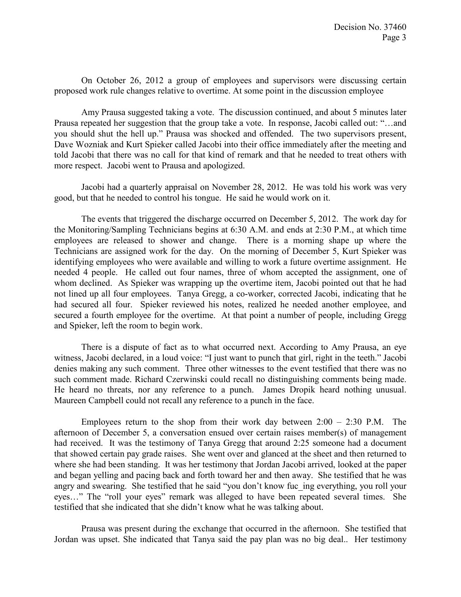On October 26, 2012 a group of employees and supervisors were discussing certain proposed work rule changes relative to overtime. At some point in the discussion employee

Amy Prausa suggested taking a vote. The discussion continued, and about 5 minutes later Prausa repeated her suggestion that the group take a vote. In response, Jacobi called out: "…and you should shut the hell up." Prausa was shocked and offended. The two supervisors present, Dave Wozniak and Kurt Spieker called Jacobi into their office immediately after the meeting and told Jacobi that there was no call for that kind of remark and that he needed to treat others with more respect. Jacobi went to Prausa and apologized.

Jacobi had a quarterly appraisal on November 28, 2012. He was told his work was very good, but that he needed to control his tongue. He said he would work on it.

The events that triggered the discharge occurred on December 5, 2012. The work day for the Monitoring/Sampling Technicians begins at 6:30 A.M. and ends at 2:30 P.M., at which time employees are released to shower and change. There is a morning shape up where the Technicians are assigned work for the day. On the morning of December 5, Kurt Spieker was identifying employees who were available and willing to work a future overtime assignment. He needed 4 people. He called out four names, three of whom accepted the assignment, one of whom declined. As Spieker was wrapping up the overtime item, Jacobi pointed out that he had not lined up all four employees. Tanya Gregg, a co-worker, corrected Jacobi, indicating that he had secured all four. Spieker reviewed his notes, realized he needed another employee, and secured a fourth employee for the overtime. At that point a number of people, including Gregg and Spieker, left the room to begin work.

There is a dispute of fact as to what occurred next. According to Amy Prausa, an eye witness, Jacobi declared, in a loud voice: "I just want to punch that girl, right in the teeth." Jacobi denies making any such comment. Three other witnesses to the event testified that there was no such comment made. Richard Czerwinski could recall no distinguishing comments being made. He heard no threats, nor any reference to a punch. James Dropik heard nothing unusual. Maureen Campbell could not recall any reference to a punch in the face.

Employees return to the shop from their work day between  $2:00 - 2:30$  P.M. The afternoon of December 5, a conversation ensued over certain raises member(s) of management had received. It was the testimony of Tanya Gregg that around 2:25 someone had a document that showed certain pay grade raises. She went over and glanced at the sheet and then returned to where she had been standing. It was her testimony that Jordan Jacobi arrived, looked at the paper and began yelling and pacing back and forth toward her and then away. She testified that he was angry and swearing. She testified that he said "you don't know fuc\_ing everything, you roll your eyes…" The "roll your eyes" remark was alleged to have been repeated several times. She testified that she indicated that she didn't know what he was talking about.

Prausa was present during the exchange that occurred in the afternoon. She testified that Jordan was upset. She indicated that Tanya said the pay plan was no big deal.. Her testimony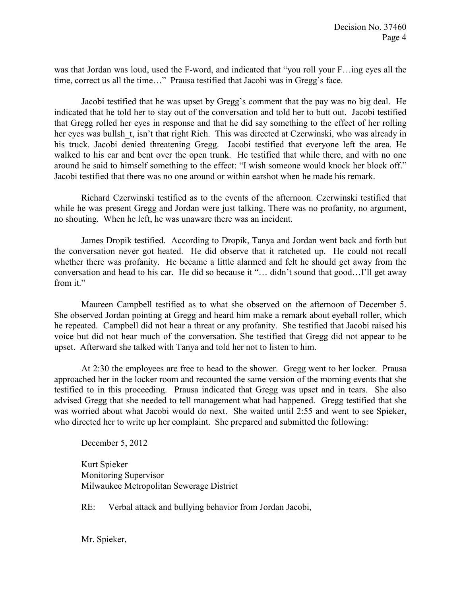was that Jordan was loud, used the F-word, and indicated that "you roll your F…ing eyes all the time, correct us all the time…" Prausa testified that Jacobi was in Gregg's face.

Jacobi testified that he was upset by Gregg's comment that the pay was no big deal. He indicated that he told her to stay out of the conversation and told her to butt out. Jacobi testified that Gregg rolled her eyes in response and that he did say something to the effect of her rolling her eyes was bullsh t, isn't that right Rich. This was directed at Czerwinski, who was already in his truck. Jacobi denied threatening Gregg. Jacobi testified that everyone left the area. He walked to his car and bent over the open trunk. He testified that while there, and with no one around he said to himself something to the effect: "I wish someone would knock her block off." Jacobi testified that there was no one around or within earshot when he made his remark.

Richard Czerwinski testified as to the events of the afternoon. Czerwinski testified that while he was present Gregg and Jordan were just talking. There was no profanity, no argument, no shouting. When he left, he was unaware there was an incident.

James Dropik testified. According to Dropik, Tanya and Jordan went back and forth but the conversation never got heated. He did observe that it ratcheted up. He could not recall whether there was profanity. He became a little alarmed and felt he should get away from the conversation and head to his car. He did so because it "… didn't sound that good…I'll get away from it."

Maureen Campbell testified as to what she observed on the afternoon of December 5. She observed Jordan pointing at Gregg and heard him make a remark about eyeball roller, which he repeated. Campbell did not hear a threat or any profanity. She testified that Jacobi raised his voice but did not hear much of the conversation. She testified that Gregg did not appear to be upset. Afterward she talked with Tanya and told her not to listen to him.

At 2:30 the employees are free to head to the shower. Gregg went to her locker. Prausa approached her in the locker room and recounted the same version of the morning events that she testified to in this proceeding. Prausa indicated that Gregg was upset and in tears. She also advised Gregg that she needed to tell management what had happened. Gregg testified that she was worried about what Jacobi would do next. She waited until 2:55 and went to see Spieker, who directed her to write up her complaint. She prepared and submitted the following:

December 5, 2012

Kurt Spieker Monitoring Supervisor Milwaukee Metropolitan Sewerage District

RE: Verbal attack and bullying behavior from Jordan Jacobi,

Mr. Spieker,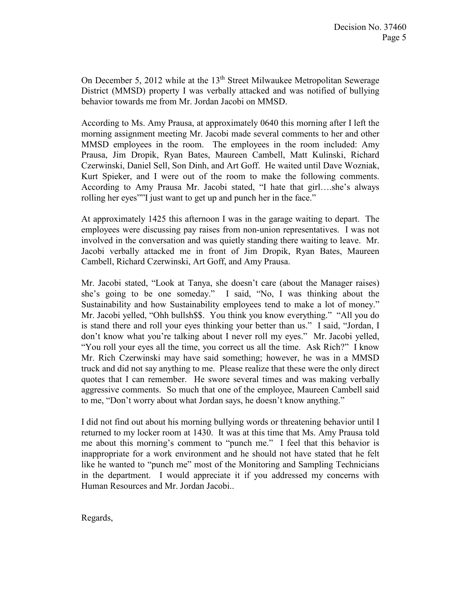On December 5, 2012 while at the 13<sup>th</sup> Street Milwaukee Metropolitan Sewerage District (MMSD) property I was verbally attacked and was notified of bullying behavior towards me from Mr. Jordan Jacobi on MMSD.

According to Ms. Amy Prausa, at approximately 0640 this morning after I left the morning assignment meeting Mr. Jacobi made several comments to her and other MMSD employees in the room. The employees in the room included: Amy Prausa, Jim Dropik, Ryan Bates, Maureen Cambell, Matt Kulinski, Richard Czerwinski, Daniel Sell, Son Dinh, and Art Goff. He waited until Dave Wozniak, Kurt Spieker, and I were out of the room to make the following comments. According to Amy Prausa Mr. Jacobi stated, "I hate that girl….she's always rolling her eyes""I just want to get up and punch her in the face."

At approximately 1425 this afternoon I was in the garage waiting to depart. The employees were discussing pay raises from non-union representatives. I was not involved in the conversation and was quietly standing there waiting to leave. Mr. Jacobi verbally attacked me in front of Jim Dropik, Ryan Bates, Maureen Cambell, Richard Czerwinski, Art Goff, and Amy Prausa.

Mr. Jacobi stated, "Look at Tanya, she doesn't care (about the Manager raises) she's going to be one someday." I said, "No, I was thinking about the Sustainability and how Sustainability employees tend to make a lot of money." Mr. Jacobi yelled, "Ohh bullsh\$\$. You think you know everything." "All you do is stand there and roll your eyes thinking your better than us." I said, "Jordan, I don't know what you're talking about I never roll my eyes." Mr. Jacobi yelled, "You roll your eyes all the time, you correct us all the time. Ask Rich?" I know Mr. Rich Czerwinski may have said something; however, he was in a MMSD truck and did not say anything to me. Please realize that these were the only direct quotes that I can remember. He swore several times and was making verbally aggressive comments. So much that one of the employee, Maureen Cambell said to me, "Don't worry about what Jordan says, he doesn't know anything."

I did not find out about his morning bullying words or threatening behavior until I returned to my locker room at 1430. It was at this time that Ms. Amy Prausa told me about this morning's comment to "punch me." I feel that this behavior is inappropriate for a work environment and he should not have stated that he felt like he wanted to "punch me" most of the Monitoring and Sampling Technicians in the department. I would appreciate it if you addressed my concerns with Human Resources and Mr. Jordan Jacobi..

Regards,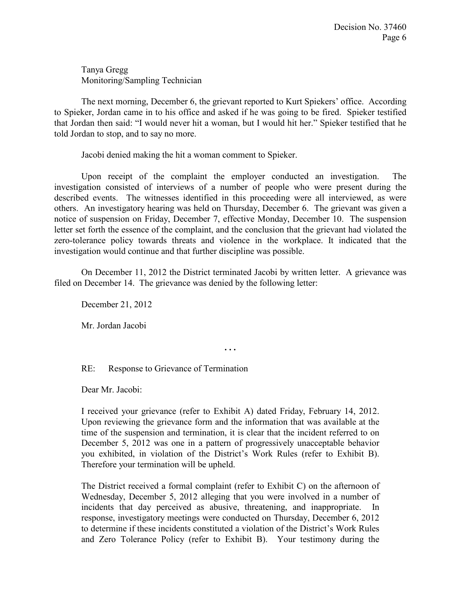Tanya Gregg Monitoring/Sampling Technician

The next morning, December 6, the grievant reported to Kurt Spiekers' office. According to Spieker, Jordan came in to his office and asked if he was going to be fired. Spieker testified that Jordan then said: "I would never hit a woman, but I would hit her." Spieker testified that he told Jordan to stop, and to say no more.

Jacobi denied making the hit a woman comment to Spieker.

Upon receipt of the complaint the employer conducted an investigation. The investigation consisted of interviews of a number of people who were present during the described events. The witnesses identified in this proceeding were all interviewed, as were others. An investigatory hearing was held on Thursday, December 6. The grievant was given a notice of suspension on Friday, December 7, effective Monday, December 10. The suspension letter set forth the essence of the complaint, and the conclusion that the grievant had violated the zero-tolerance policy towards threats and violence in the workplace. It indicated that the investigation would continue and that further discipline was possible.

On December 11, 2012 the District terminated Jacobi by written letter. A grievance was filed on December 14. The grievance was denied by the following letter:

**. . .** 

December 21, 2012

Mr. Jordan Jacobi

RE: Response to Grievance of Termination

Dear Mr. Jacobi:

I received your grievance (refer to Exhibit A) dated Friday, February 14, 2012. Upon reviewing the grievance form and the information that was available at the time of the suspension and termination, it is clear that the incident referred to on December 5, 2012 was one in a pattern of progressively unacceptable behavior you exhibited, in violation of the District's Work Rules (refer to Exhibit B). Therefore your termination will be upheld.

The District received a formal complaint (refer to Exhibit C) on the afternoon of Wednesday, December 5, 2012 alleging that you were involved in a number of incidents that day perceived as abusive, threatening, and inappropriate. In response, investigatory meetings were conducted on Thursday, December 6, 2012 to determine if these incidents constituted a violation of the District's Work Rules and Zero Tolerance Policy (refer to Exhibit B). Your testimony during the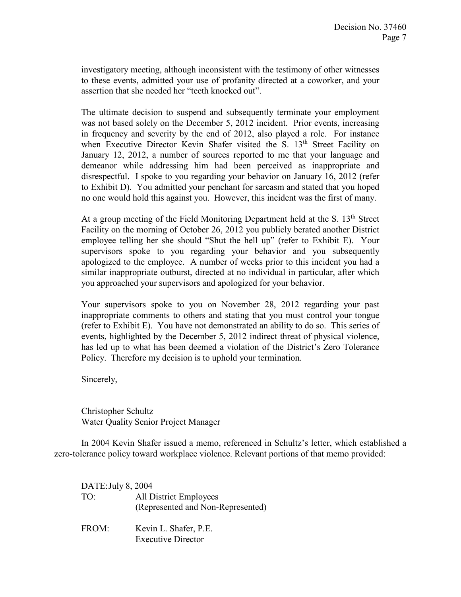investigatory meeting, although inconsistent with the testimony of other witnesses to these events, admitted your use of profanity directed at a coworker, and your assertion that she needed her "teeth knocked out".

The ultimate decision to suspend and subsequently terminate your employment was not based solely on the December 5, 2012 incident. Prior events, increasing in frequency and severity by the end of 2012, also played a role. For instance when Executive Director Kevin Shafer visited the S. 13<sup>th</sup> Street Facility on January 12, 2012, a number of sources reported to me that your language and demeanor while addressing him had been perceived as inappropriate and disrespectful. I spoke to you regarding your behavior on January 16, 2012 (refer to Exhibit D). You admitted your penchant for sarcasm and stated that you hoped no one would hold this against you. However, this incident was the first of many.

At a group meeting of the Field Monitoring Department held at the S.  $13<sup>th</sup>$  Street Facility on the morning of October 26, 2012 you publicly berated another District employee telling her she should "Shut the hell up" (refer to Exhibit E). Your supervisors spoke to you regarding your behavior and you subsequently apologized to the employee. A number of weeks prior to this incident you had a similar inappropriate outburst, directed at no individual in particular, after which you approached your supervisors and apologized for your behavior.

Your supervisors spoke to you on November 28, 2012 regarding your past inappropriate comments to others and stating that you must control your tongue (refer to Exhibit E). You have not demonstrated an ability to do so. This series of events, highlighted by the December 5, 2012 indirect threat of physical violence, has led up to what has been deemed a violation of the District's Zero Tolerance Policy. Therefore my decision is to uphold your termination.

Sincerely,

Christopher Schultz Water Quality Senior Project Manager

In 2004 Kevin Shafer issued a memo, referenced in Schultz's letter, which established a zero-tolerance policy toward workplace violence. Relevant portions of that memo provided:

DATE: July 8, 2004 TO: All District Employees (Represented and Non-Represented) FROM: Kevin L. Shafer, P.E. Executive Director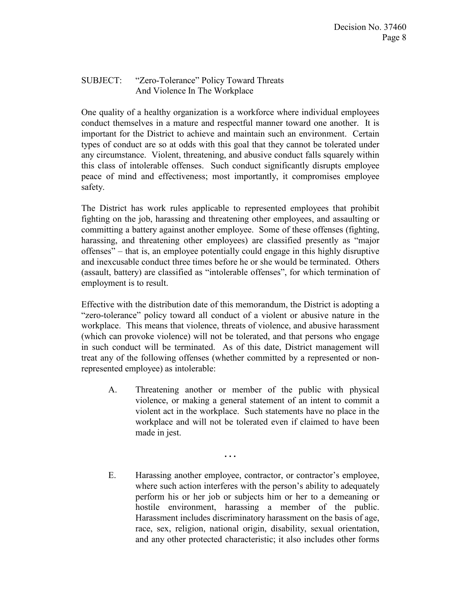# SUBJECT: "Zero-Tolerance" Policy Toward Threats And Violence In The Workplace

One quality of a healthy organization is a workforce where individual employees conduct themselves in a mature and respectful manner toward one another. It is important for the District to achieve and maintain such an environment. Certain types of conduct are so at odds with this goal that they cannot be tolerated under any circumstance. Violent, threatening, and abusive conduct falls squarely within this class of intolerable offenses. Such conduct significantly disrupts employee peace of mind and effectiveness; most importantly, it compromises employee safety.

The District has work rules applicable to represented employees that prohibit fighting on the job, harassing and threatening other employees, and assaulting or committing a battery against another employee. Some of these offenses (fighting, harassing, and threatening other employees) are classified presently as "major offenses" – that is, an employee potentially could engage in this highly disruptive and inexcusable conduct three times before he or she would be terminated. Others (assault, battery) are classified as "intolerable offenses", for which termination of employment is to result.

Effective with the distribution date of this memorandum, the District is adopting a "zero-tolerance" policy toward all conduct of a violent or abusive nature in the workplace. This means that violence, threats of violence, and abusive harassment (which can provoke violence) will not be tolerated, and that persons who engage in such conduct will be terminated. As of this date, District management will treat any of the following offenses (whether committed by a represented or nonrepresented employee) as intolerable:

A. Threatening another or member of the public with physical violence, or making a general statement of an intent to commit a violent act in the workplace. Such statements have no place in the workplace and will not be tolerated even if claimed to have been made in jest.

**. . .** 

E. Harassing another employee, contractor, or contractor's employee, where such action interferes with the person's ability to adequately perform his or her job or subjects him or her to a demeaning or hostile environment, harassing a member of the public. Harassment includes discriminatory harassment on the basis of age, race, sex, religion, national origin, disability, sexual orientation, and any other protected characteristic; it also includes other forms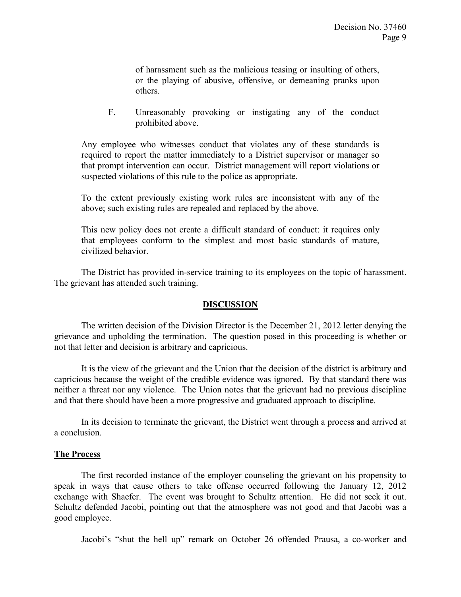of harassment such as the malicious teasing or insulting of others, or the playing of abusive, offensive, or demeaning pranks upon others.

F. Unreasonably provoking or instigating any of the conduct prohibited above.

Any employee who witnesses conduct that violates any of these standards is required to report the matter immediately to a District supervisor or manager so that prompt intervention can occur. District management will report violations or suspected violations of this rule to the police as appropriate.

To the extent previously existing work rules are inconsistent with any of the above; such existing rules are repealed and replaced by the above.

This new policy does not create a difficult standard of conduct: it requires only that employees conform to the simplest and most basic standards of mature, civilized behavior.

The District has provided in-service training to its employees on the topic of harassment. The grievant has attended such training.

# **DISCUSSION**

The written decision of the Division Director is the December 21, 2012 letter denying the grievance and upholding the termination. The question posed in this proceeding is whether or not that letter and decision is arbitrary and capricious.

It is the view of the grievant and the Union that the decision of the district is arbitrary and capricious because the weight of the credible evidence was ignored. By that standard there was neither a threat nor any violence. The Union notes that the grievant had no previous discipline and that there should have been a more progressive and graduated approach to discipline.

In its decision to terminate the grievant, the District went through a process and arrived at a conclusion.

## **The Process**

The first recorded instance of the employer counseling the grievant on his propensity to speak in ways that cause others to take offense occurred following the January 12, 2012 exchange with Shaefer. The event was brought to Schultz attention. He did not seek it out. Schultz defended Jacobi, pointing out that the atmosphere was not good and that Jacobi was a good employee.

Jacobi's "shut the hell up" remark on October 26 offended Prausa, a co-worker and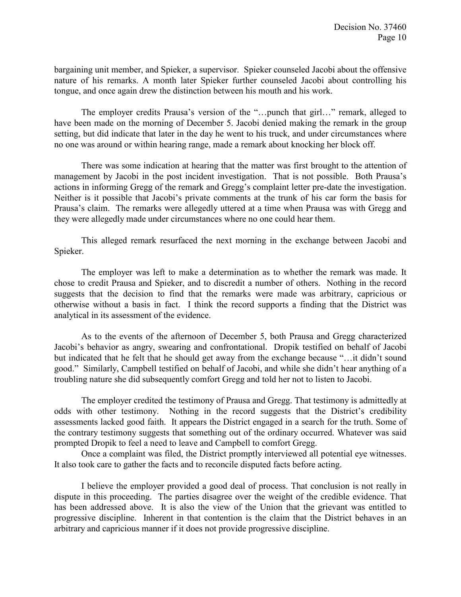bargaining unit member, and Spieker, a supervisor. Spieker counseled Jacobi about the offensive nature of his remarks. A month later Spieker further counseled Jacobi about controlling his tongue, and once again drew the distinction between his mouth and his work.

The employer credits Prausa's version of the "…punch that girl…" remark, alleged to have been made on the morning of December 5. Jacobi denied making the remark in the group setting, but did indicate that later in the day he went to his truck, and under circumstances where no one was around or within hearing range, made a remark about knocking her block off.

There was some indication at hearing that the matter was first brought to the attention of management by Jacobi in the post incident investigation. That is not possible. Both Prausa's actions in informing Gregg of the remark and Gregg's complaint letter pre-date the investigation. Neither is it possible that Jacobi's private comments at the trunk of his car form the basis for Prausa's claim. The remarks were allegedly uttered at a time when Prausa was with Gregg and they were allegedly made under circumstances where no one could hear them.

This alleged remark resurfaced the next morning in the exchange between Jacobi and Spieker.

The employer was left to make a determination as to whether the remark was made. It chose to credit Prausa and Spieker, and to discredit a number of others. Nothing in the record suggests that the decision to find that the remarks were made was arbitrary, capricious or otherwise without a basis in fact. I think the record supports a finding that the District was analytical in its assessment of the evidence.

As to the events of the afternoon of December 5, both Prausa and Gregg characterized Jacobi's behavior as angry, swearing and confrontational. Dropik testified on behalf of Jacobi but indicated that he felt that he should get away from the exchange because "…it didn't sound good." Similarly, Campbell testified on behalf of Jacobi, and while she didn't hear anything of a troubling nature she did subsequently comfort Gregg and told her not to listen to Jacobi.

The employer credited the testimony of Prausa and Gregg. That testimony is admittedly at odds with other testimony. Nothing in the record suggests that the District's credibility assessments lacked good faith. It appears the District engaged in a search for the truth. Some of the contrary testimony suggests that something out of the ordinary occurred. Whatever was said prompted Dropik to feel a need to leave and Campbell to comfort Gregg.

Once a complaint was filed, the District promptly interviewed all potential eye witnesses. It also took care to gather the facts and to reconcile disputed facts before acting.

I believe the employer provided a good deal of process. That conclusion is not really in dispute in this proceeding. The parties disagree over the weight of the credible evidence. That has been addressed above. It is also the view of the Union that the grievant was entitled to progressive discipline. Inherent in that contention is the claim that the District behaves in an arbitrary and capricious manner if it does not provide progressive discipline.